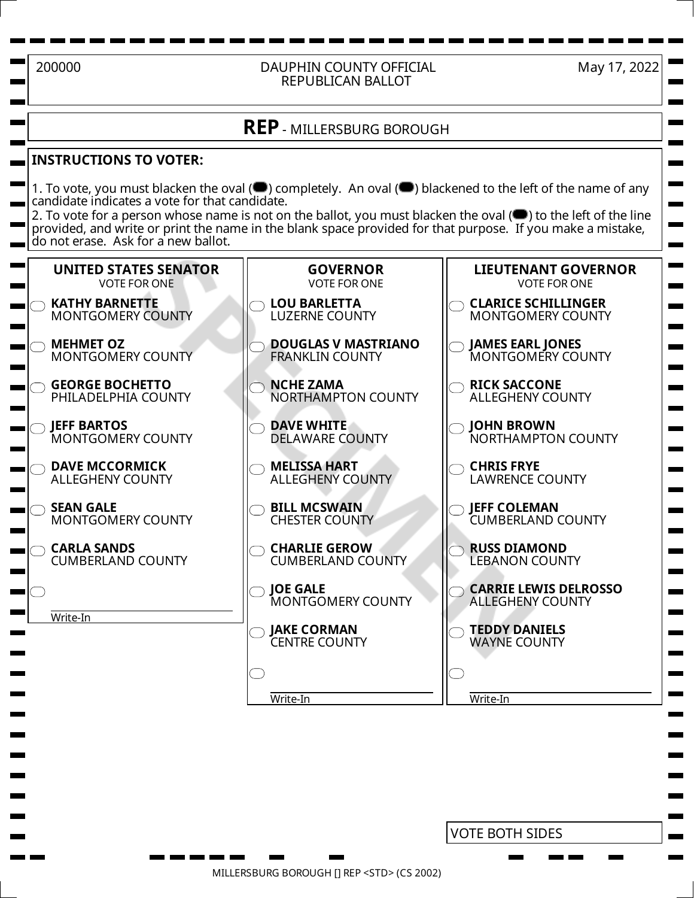## 200000 DAUPHIN COUNTY OFFICIAL REPUBLICAN BALLOT

May 17, 2022

## **REP**- MILLERSBURG BOROUGH

## **INSTRUCTIONS TO VOTER:**

1. To vote, you must blacken the oval ( $\blacksquare$ ) completely. An oval ( $\blacksquare$ ) blackened to the left of the name of any candidate indicates a vote for that candidate.

2. To vote for a person whose name is not on the ballot, you must blacken the oval  $($ **)** to the left of the line provided, and write or print the name in the blank space provided for that purpose. If you make a mistake, do not erase. Ask for a new ballot.